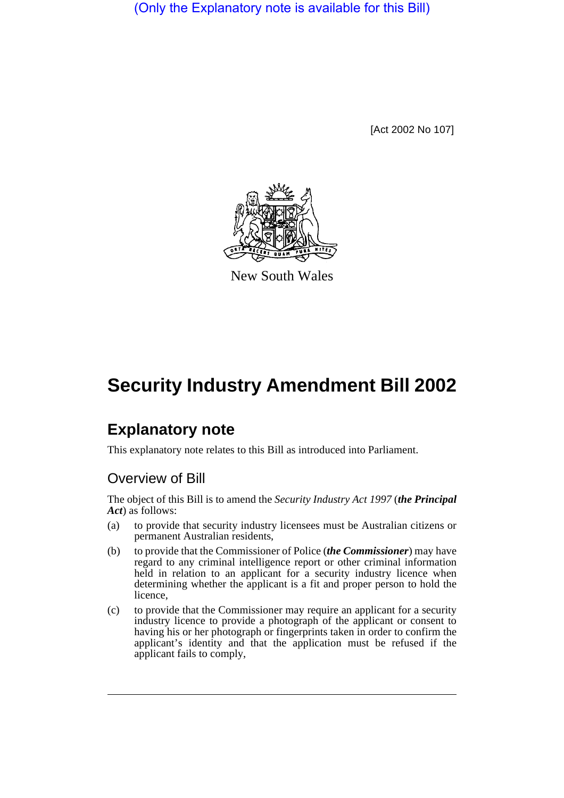(Only the Explanatory note is available for this Bill)

[Act 2002 No 107]



New South Wales

# **Security Industry Amendment Bill 2002**

## **Explanatory note**

This explanatory note relates to this Bill as introduced into Parliament.

### Overview of Bill

The object of this Bill is to amend the *Security Industry Act 1997* (*the Principal Act*) as follows:

- (a) to provide that security industry licensees must be Australian citizens or permanent Australian residents,
- (b) to provide that the Commissioner of Police (*the Commissioner*) may have regard to any criminal intelligence report or other criminal information held in relation to an applicant for a security industry licence when determining whether the applicant is a fit and proper person to hold the licence,
- (c) to provide that the Commissioner may require an applicant for a security industry licence to provide a photograph of the applicant or consent to having his or her photograph or fingerprints taken in order to confirm the applicant's identity and that the application must be refused if the applicant fails to comply,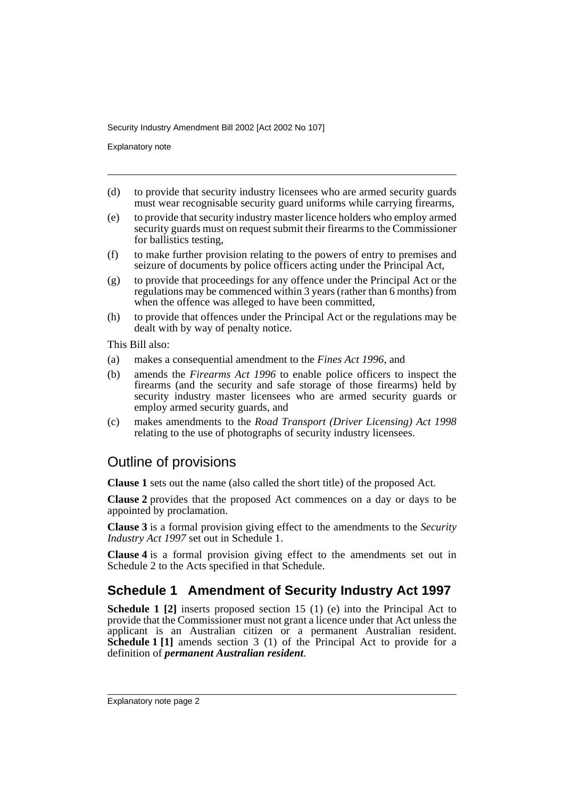Explanatory note

- (d) to provide that security industry licensees who are armed security guards must wear recognisable security guard uniforms while carrying firearms,
- (e) to provide that security industry master licence holders who employ armed security guards must on request submit their firearms to the Commissioner for ballistics testing,
- (f) to make further provision relating to the powers of entry to premises and seizure of documents by police officers acting under the Principal Act,
- (g) to provide that proceedings for any offence under the Principal Act or the regulations may be commenced within 3 years (rather than 6 months) from when the offence was alleged to have been committed,
- (h) to provide that offences under the Principal Act or the regulations may be dealt with by way of penalty notice.

This Bill also:

- (a) makes a consequential amendment to the *Fines Act 1996*, and
- (b) amends the *Firearms Act 1996* to enable police officers to inspect the firearms (and the security and safe storage of those firearms) held by security industry master licensees who are armed security guards or employ armed security guards, and
- (c) makes amendments to the *Road Transport (Driver Licensing) Act 1998* relating to the use of photographs of security industry licensees.

#### Outline of provisions

**Clause 1** sets out the name (also called the short title) of the proposed Act.

**Clause 2** provides that the proposed Act commences on a day or days to be appointed by proclamation.

**Clause 3** is a formal provision giving effect to the amendments to the *Security Industry Act 1997* set out in Schedule 1.

**Clause 4** is a formal provision giving effect to the amendments set out in Schedule 2 to the Acts specified in that Schedule.

#### **Schedule 1 Amendment of Security Industry Act 1997**

**Schedule 1 [2]** inserts proposed section 15 (1) (e) into the Principal Act to provide that the Commissioner must not grant a licence under that Act unless the applicant is an Australian citizen or a permanent Australian resident. **Schedule 1 [1]** amends section 3 (1) of the Principal Act to provide for a definition of *permanent Australian resident*.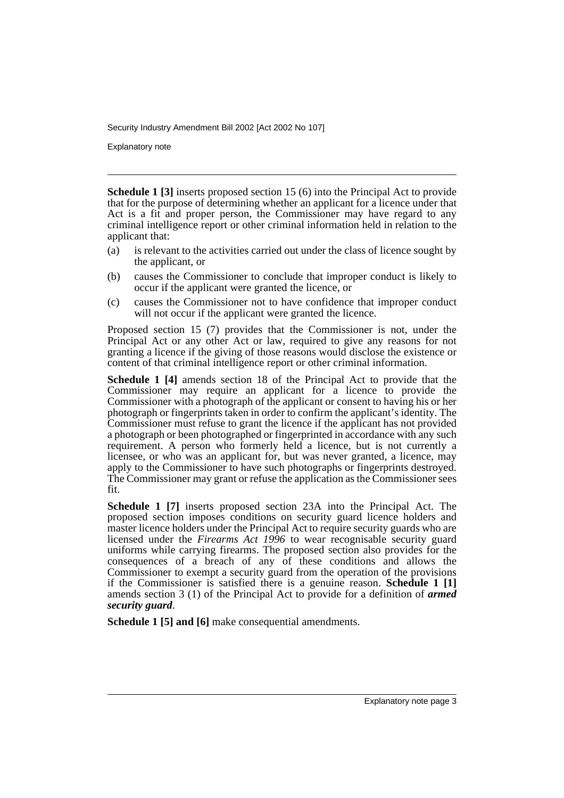Explanatory note

**Schedule 1 [3]** inserts proposed section 15 (6) into the Principal Act to provide that for the purpose of determining whether an applicant for a licence under that Act is a fit and proper person, the Commissioner may have regard to any criminal intelligence report or other criminal information held in relation to the applicant that:

- (a) is relevant to the activities carried out under the class of licence sought by the applicant, or
- (b) causes the Commissioner to conclude that improper conduct is likely to occur if the applicant were granted the licence, or
- (c) causes the Commissioner not to have confidence that improper conduct will not occur if the applicant were granted the licence.

Proposed section 15 (7) provides that the Commissioner is not, under the Principal Act or any other Act or law, required to give any reasons for not granting a licence if the giving of those reasons would disclose the existence or content of that criminal intelligence report or other criminal information.

**Schedule 1 [4]** amends section 18 of the Principal Act to provide that the Commissioner may require an applicant for a licence to provide the Commissioner with a photograph of the applicant or consent to having his or her photograph or fingerprints taken in order to confirm the applicant's identity. The Commissioner must refuse to grant the licence if the applicant has not provided a photograph or been photographed or fingerprinted in accordance with any such requirement. A person who formerly held a licence, but is not currently a licensee, or who was an applicant for, but was never granted, a licence, may apply to the Commissioner to have such photographs or fingerprints destroyed. The Commissioner may grant or refuse the application as the Commissioner sees fit.

**Schedule 1 [7]** inserts proposed section 23A into the Principal Act. The proposed section imposes conditions on security guard licence holders and master licence holders under the Principal Act to require security guards who are licensed under the *Firearms Act 1996* to wear recognisable security guard uniforms while carrying firearms. The proposed section also provides for the consequences of a breach of any of these conditions and allows the Commissioner to exempt a security guard from the operation of the provisions if the Commissioner is satisfied there is a genuine reason. **Schedule 1 [1]** amends section 3 (1) of the Principal Act to provide for a definition of *armed security guard*.

**Schedule 1 [5] and [6]** make consequential amendments.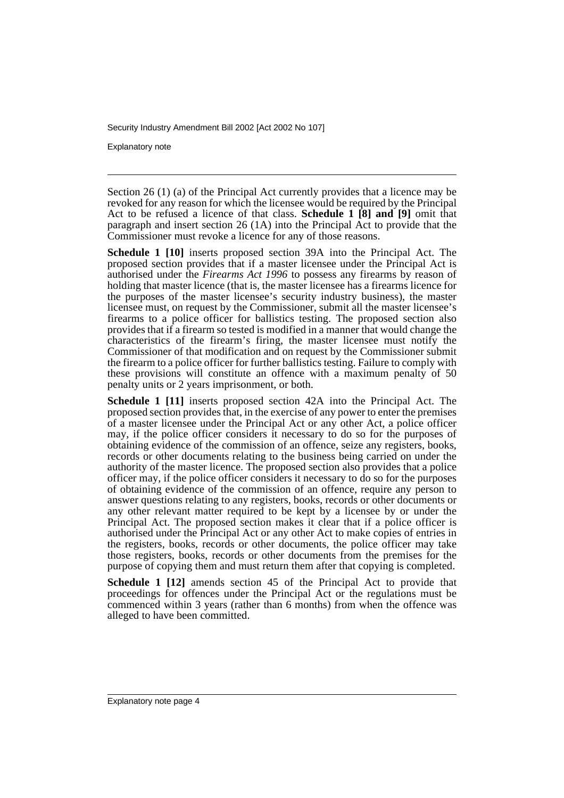Explanatory note

Section 26 (1) (a) of the Principal Act currently provides that a licence may be revoked for any reason for which the licensee would be required by the Principal Act to be refused a licence of that class. **Schedule 1 [8] and [9]** omit that paragraph and insert section 26 (1A) into the Principal Act to provide that the Commissioner must revoke a licence for any of those reasons.

**Schedule 1 [10]** inserts proposed section 39A into the Principal Act. The proposed section provides that if a master licensee under the Principal Act is authorised under the *Firearms Act 1996* to possess any firearms by reason of holding that master licence (that is, the master licensee has a firearms licence for the purposes of the master licensee's security industry business), the master licensee must, on request by the Commissioner, submit all the master licensee's firearms to a police officer for ballistics testing. The proposed section also provides that if a firearm so tested is modified in a manner that would change the characteristics of the firearm's firing, the master licensee must notify the Commissioner of that modification and on request by the Commissioner submit the firearm to a police officer for further ballistics testing. Failure to comply with these provisions will constitute an offence with a maximum penalty of 50 penalty units or 2 years imprisonment, or both.

**Schedule 1 [11]** inserts proposed section 42A into the Principal Act. The proposed section provides that, in the exercise of any power to enter the premises of a master licensee under the Principal Act or any other Act, a police officer may, if the police officer considers it necessary to do so for the purposes of obtaining evidence of the commission of an offence, seize any registers, books, records or other documents relating to the business being carried on under the authority of the master licence. The proposed section also provides that a police officer may, if the police officer considers it necessary to do so for the purposes of obtaining evidence of the commission of an offence, require any person to answer questions relating to any registers, books, records or other documents or any other relevant matter required to be kept by a licensee by or under the Principal Act. The proposed section makes it clear that if a police officer is authorised under the Principal Act or any other Act to make copies of entries in the registers, books, records or other documents, the police officer may take those registers, books, records or other documents from the premises for the purpose of copying them and must return them after that copying is completed.

**Schedule 1 [12]** amends section 45 of the Principal Act to provide that proceedings for offences under the Principal Act or the regulations must be commenced within 3 years (rather than 6 months) from when the offence was alleged to have been committed.